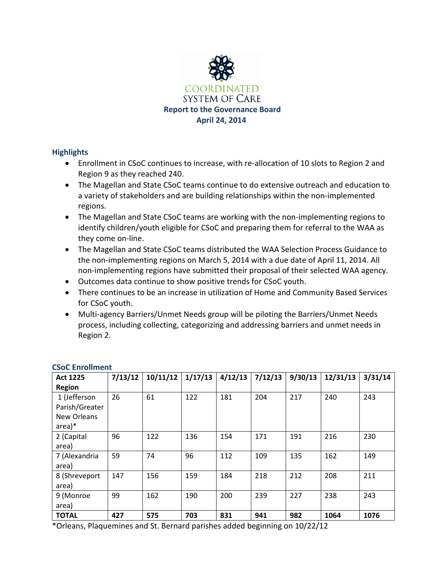

# **Highlights**

- Enrollment in CSoC continues to increase, with re-allocation of 10 slots to Region 2 and Region 9 as they reached 240.
- The Magellan and State CSoC teams continue to do extensive outreach and education to a variety of stakeholders and are building relationships within the non-implemented regions.
- The Magellan and State CSoC teams are working with the non-implementing regions to identify children/youth eligible for CSoC and preparing them for referral to the WAA as they come on-line.
- The Magellan and State CSoC teams distributed the WAA Selection Process Guidance to the non-implementing regions on March 5, 2014 with a due date of April 11, 2014. All non-implementing regions have submitted their proposal of their selected WAA agency.
- Outcomes data continue to show positive trends for CSoC youth.
- There continues to be an increase in utilization of Home and Community Based Services for CSoC youth.
- Multi-agency Barriers/Unmet Needs group will be piloting the Barriers/Unmet Needs process, including collecting, categorizing and addressing barriers and unmet needs in Region 2.

| <b>Act 1225</b>    | 7/13/12 | 10/11/12 | 1/17/13 | 4/12/13 | 7/12/13 | 9/30/13 | 12/31/13 | 3/31/14 |
|--------------------|---------|----------|---------|---------|---------|---------|----------|---------|
| <b>Region</b>      |         |          |         |         |         |         |          |         |
| 1 (Jefferson       | 26      | 61       | 122     | 181     | 204     | 217     | 240      | 243     |
| Parish/Greater     |         |          |         |         |         |         |          |         |
| <b>New Orleans</b> |         |          |         |         |         |         |          |         |
| $area)*$           |         |          |         |         |         |         |          |         |
| 2 (Capital         | 96      | 122      | 136     | 154     | 171     | 191     | 216      | 230     |
| area)              |         |          |         |         |         |         |          |         |
| 7 (Alexandria      | 59      | 74       | 96      | 112     | 109     | 135     | 162      | 149     |
| area)              |         |          |         |         |         |         |          |         |
| 8 (Shreveport      | 147     | 156      | 159     | 184     | 218     | 212     | 208      | 211     |
| area)              |         |          |         |         |         |         |          |         |
| 9 (Monroe          | 99      | 162      | 190     | 200     | 239     | 227     | 238      | 243     |
| area)              |         |          |         |         |         |         |          |         |
| <b>TOTAL</b>       | 427     | 575      | 703     | 831     | 941     | 982     | 1064     | 1076    |

## **CSoC Enrollment**

\*Orleans, Plaquemines and St. Bernard parishes added beginning on 10/22/12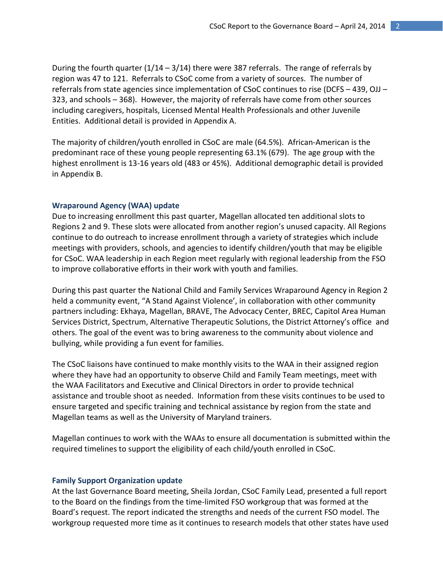During the fourth quarter  $(1/14 - 3/14)$  there were 387 referrals. The range of referrals by region was 47 to 121. Referrals to CSoC come from a variety of sources. The number of referrals from state agencies since implementation of CSoC continues to rise (DCFS – 439, OJJ – 323, and schools – 368). However, the majority of referrals have come from other sources including caregivers, hospitals, Licensed Mental Health Professionals and other Juvenile Entities. Additional detail is provided in Appendix A.

The majority of children/youth enrolled in CSoC are male (64.5%). African-American is the predominant race of these young people representing 63.1% (679). The age group with the highest enrollment is 13-16 years old (483 or 45%). Additional demographic detail is provided in Appendix B.

### **Wraparound Agency (WAA) update**

Due to increasing enrollment this past quarter, Magellan allocated ten additional slots to Regions 2 and 9. These slots were allocated from another region's unused capacity. All Regions continue to do outreach to increase enrollment through a variety of strategies which include meetings with providers, schools, and agencies to identify children/youth that may be eligible for CSoC. WAA leadership in each Region meet regularly with regional leadership from the FSO to improve collaborative efforts in their work with youth and families.

During this past quarter the National Child and Family Services Wraparound Agency in Region 2 held a community event, "A Stand Against Violence', in collaboration with other community partners including: Ekhaya, Magellan, BRAVE, The Advocacy Center, BREC, Capitol Area Human Services District, Spectrum, Alternative Therapeutic Solutions, the District Attorney's office and others. The goal of the event was to bring awareness to the community about violence and bullying, while providing a fun event for families.

The CSoC liaisons have continued to make monthly visits to the WAA in their assigned region where they have had an opportunity to observe Child and Family Team meetings, meet with the WAA Facilitators and Executive and Clinical Directors in order to provide technical assistance and trouble shoot as needed. Information from these visits continues to be used to ensure targeted and specific training and technical assistance by region from the state and Magellan teams as well as the University of Maryland trainers.

Magellan continues to work with the WAAs to ensure all documentation is submitted within the required timelines to support the eligibility of each child/youth enrolled in CSoC.

#### **Family Support Organization update**

At the last Governance Board meeting, Sheila Jordan, CSoC Family Lead, presented a full report to the Board on the findings from the time-limited FSO workgroup that was formed at the Board's request. The report indicated the strengths and needs of the current FSO model. The workgroup requested more time as it continues to research models that other states have used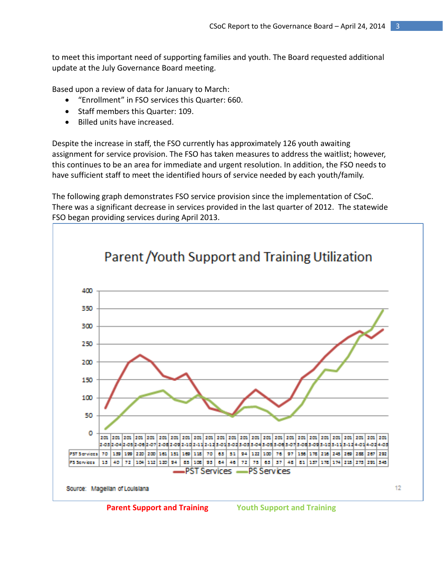to meet this important need of supporting families and youth. The Board requested additional update at the July Governance Board meeting.

Based upon a review of data for January to March:

- "Enrollment" in FSO services this Quarter: 660.
- Staff members this Quarter: 109.
- Billed units have increased.

Despite the increase in staff, the FSO currently has approximately 126 youth awaiting assignment for service provision. The FSO has taken measures to address the waitlist; however, this continues to be an area for immediate and urgent resolution. In addition, the FSO needs to have sufficient staff to meet the identified hours of service needed by each youth/family.

The following graph demonstrates FSO service provision since the implementation of CSoC. There was a significant decrease in services provided in the last quarter of 2012. The statewide FSO began providing services during April 2013.



Parent / Youth Support and Training Utilization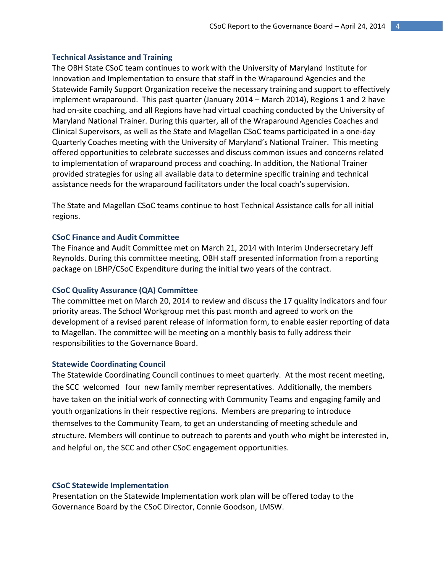### **Technical Assistance and Training**

The OBH State CSoC team continues to work with the University of Maryland Institute for Innovation and Implementation to ensure that staff in the Wraparound Agencies and the Statewide Family Support Organization receive the necessary training and support to effectively implement wraparound. This past quarter (January 2014 – March 2014), Regions 1 and 2 have had on-site coaching, and all Regions have had virtual coaching conducted by the University of Maryland National Trainer. During this quarter, all of the Wraparound Agencies Coaches and Clinical Supervisors, as well as the State and Magellan CSoC teams participated in a one-day Quarterly Coaches meeting with the University of Maryland's National Trainer. This meeting offered opportunities to celebrate successes and discuss common issues and concerns related to implementation of wraparound process and coaching. In addition, the National Trainer provided strategies for using all available data to determine specific training and technical assistance needs for the wraparound facilitators under the local coach's supervision.

The State and Magellan CSoC teams continue to host Technical Assistance calls for all initial regions.

### **CSoC Finance and Audit Committee**

The Finance and Audit Committee met on March 21, 2014 with Interim Undersecretary Jeff Reynolds. During this committee meeting, OBH staff presented information from a reporting package on LBHP/CSoC Expenditure during the initial two years of the contract.

### **CSoC Quality Assurance (QA) Committee**

The committee met on March 20, 2014 to review and discuss the 17 quality indicators and four priority areas. The School Workgroup met this past month and agreed to work on the development of a revised parent release of information form, to enable easier reporting of data to Magellan. The committee will be meeting on a monthly basis to fully address their responsibilities to the Governance Board.

#### **Statewide Coordinating Council**

The Statewide Coordinating Council continues to meet quarterly. At the most recent meeting, the SCC welcomed four new family member representatives. Additionally, the members have taken on the initial work of connecting with Community Teams and engaging family and youth organizations in their respective regions. Members are preparing to introduce themselves to the Community Team, to get an understanding of meeting schedule and structure. Members will continue to outreach to parents and youth who might be interested in, and helpful on, the SCC and other CSoC engagement opportunities.

#### **CSoC Statewide Implementation**

Presentation on the Statewide Implementation work plan will be offered today to the Governance Board by the CSoC Director, Connie Goodson, LMSW.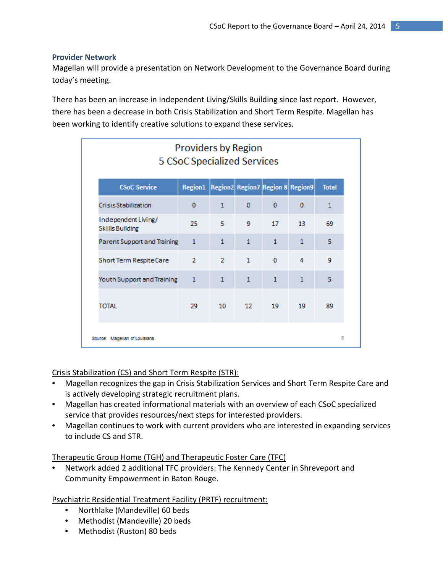## **Provider Network**

Magellan will provide a presentation on Network Development to the Governance Board during today's meeting.

There has been an increase in Independent Living/Skills Building since last report. However, there has been a decrease in both Crisis Stabilization and Short Term Respite. Magellan has been working to identify creative solutions to expand these services.

| <b>Providers by Region</b><br>5 CSoC Specialized Services |                                                  |                |                 |              |              |              |
|-----------------------------------------------------------|--------------------------------------------------|----------------|-----------------|--------------|--------------|--------------|
| <b>CSoC Service</b>                                       | Region1   Region2   Region7   Region 8   Region9 |                |                 |              |              | <b>Total</b> |
| <b>CrisisStabilization</b>                                | o                                                | $\mathbf{1}$   | $\Omega$        | $\Omega$     | $\Omega$     | 1            |
| Independent Living/<br><b>Skills Building</b>             | 25                                               | 5              | 9               | 17           | 13           | 69           |
| Parent Support and Training                               | $\mathbf{1}$                                     | $\mathbf{1}$   | $\mathbf{1}$    | $\mathbf{1}$ | 1            | 5            |
| Short Term Respite Care                                   | $\overline{2}$                                   | $\overline{2}$ | $\mathbf{1}$    | $\Omega$     | 4            | 9            |
| Youth Support and Training                                | $\mathbf{1}$                                     | $\mathbf{1}$   | $\mathbf{1}$    | $\mathbf{1}$ | $\mathbf{1}$ | 5            |
| TOTAL                                                     | 29.                                              | 10             | 12 <sup>°</sup> | 19           | 19           | 89           |
| Source: Magellan of Louislana                             |                                                  |                |                 |              |              | 8            |

## Crisis Stabilization (CS) and Short Term Respite (STR):

- Magellan recognizes the gap in Crisis Stabilization Services and Short Term Respite Care and is actively developing strategic recruitment plans.
- Magellan has created informational materials with an overview of each CSoC specialized service that provides resources/next steps for interested providers.
- Magellan continues to work with current providers who are interested in expanding services to include CS and STR.

## Therapeutic Group Home (TGH) and Therapeutic Foster Care (TFC)

• Network added 2 additional TFC providers: The Kennedy Center in Shreveport and Community Empowerment in Baton Rouge.

Psychiatric Residential Treatment Facility (PRTF) recruitment:

- Northlake (Mandeville) 60 beds
- Methodist (Mandeville) 20 beds
- Methodist (Ruston) 80 beds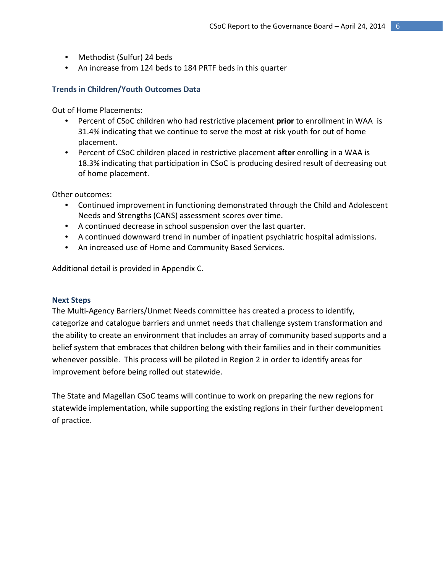- Methodist (Sulfur) 24 beds
- An increase from 124 beds to 184 PRTF beds in this quarter

## **Trends in Children/Youth Outcomes Data**

Out of Home Placements:

- Percent of CSoC children who had restrictive placement **prior** to enrollment in WAA is 31.4% indicating that we continue to serve the most at risk youth for out of home placement.
- Percent of CSoC children placed in restrictive placement **after** enrolling in a WAA is 18.3% indicating that participation in CSoC is producing desired result of decreasing out of home placement.

Other outcomes:

- Continued improvement in functioning demonstrated through the Child and Adolescent Needs and Strengths (CANS) assessment scores over time.
- A continued decrease in school suspension over the last quarter.
- A continued downward trend in number of inpatient psychiatric hospital admissions.
- An increased use of Home and Community Based Services.

Additional detail is provided in Appendix C.

### **Next Steps**

The Multi-Agency Barriers/Unmet Needs committee has created a process to identify, categorize and catalogue barriers and unmet needs that challenge system transformation and the ability to create an environment that includes an array of community based supports and a belief system that embraces that children belong with their families and in their communities whenever possible. This process will be piloted in Region 2 in order to identify areas for improvement before being rolled out statewide.

The State and Magellan CSoC teams will continue to work on preparing the new regions for statewide implementation, while supporting the existing regions in their further development of practice.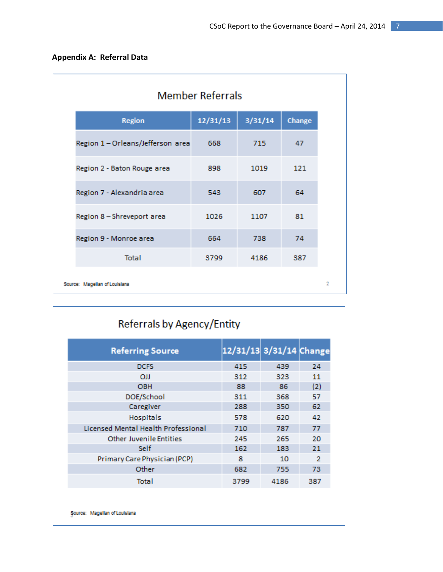| <b>Appendix A: Referral Data</b> |  |  |
|----------------------------------|--|--|
|----------------------------------|--|--|

|                                   | <b>Member Referrals</b> |         |        |
|-----------------------------------|-------------------------|---------|--------|
| <b>Region</b>                     | 12/31/13                | 3/31/14 | Change |
| Region 1 - Orleans/Jefferson area | 668                     | 715     | 47     |
| Region 2 - Baton Rouge area       | 898                     | 1019    | 121    |
| Region 7 - Alexandria area        | 543                     | 607     | 64     |
| Region 8 - Shreveport area        | 1026                    | 1107    | 81     |
| Region 9 - Monroe area            | 664                     | 738     | 74     |
| <b>Total</b>                      | 3799                    | 4186    | 387    |
| Source: Magellan of Louisiana     |                         |         |        |

| <b>Referring Source</b>             | 12/31/13 3/31/14 Change |      |     |
|-------------------------------------|-------------------------|------|-----|
| <b>DCFS</b>                         | 415                     | 439  | 24  |
| OJJ                                 | 312                     | 323  | 11  |
| <b>OBH</b>                          | 88                      | 86   | (2) |
| DOE/School                          | 311                     | 368  | 57  |
| Caregiver                           | 288                     | 350  | 62  |
| <b>Hospitals</b>                    | 578                     | 620  | 42  |
| Licensed Mental Health Professional | 710                     | 787  | 77  |
| <b>Other Juvenile Entities</b>      | 245                     | 265  | 20  |
| Self                                | 162                     | 183  | 21  |
| Primary Care Physician (PCP)        | 8                       | 10   | 2   |
| Other                               | 682                     | 755  | 73  |
| Total                               | 3799                    | 4186 | 387 |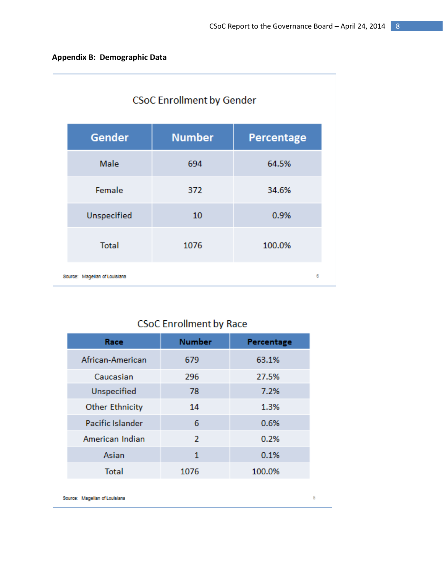| <b>CSoC Enrollment by Gender</b> |               |                   |  |  |
|----------------------------------|---------------|-------------------|--|--|
| Gender                           | <b>Number</b> | <b>Percentage</b> |  |  |
| Male                             | 694           | 64.5%             |  |  |
| Female                           | 372           | 34.6%             |  |  |
| Unspecified                      | 10            | 0.9%              |  |  |
| <b>Total</b>                     | 1076          | 100.0%            |  |  |
| Source: Magellan of Louislana    |               | 6                 |  |  |

| <b>CSoC Enrollment by Race</b> |                |            |  |  |
|--------------------------------|----------------|------------|--|--|
| Race                           | <b>Number</b>  | Percentage |  |  |
| African-American               | 679            | 63.1%      |  |  |
| Caucasian                      | 296            | 27.5%      |  |  |
| Unspecified                    | 78             | 7.2%       |  |  |
| <b>Other Ethnicity</b>         | 14             | 1.3%       |  |  |
| Pacific Islander               | 6              | 0.6%       |  |  |
| American Indian                | $\overline{2}$ | 0.2%       |  |  |
| Asian                          | $\mathbf{1}$   | 0.1%       |  |  |
| <b>Total</b>                   | 1076           | 100.0%     |  |  |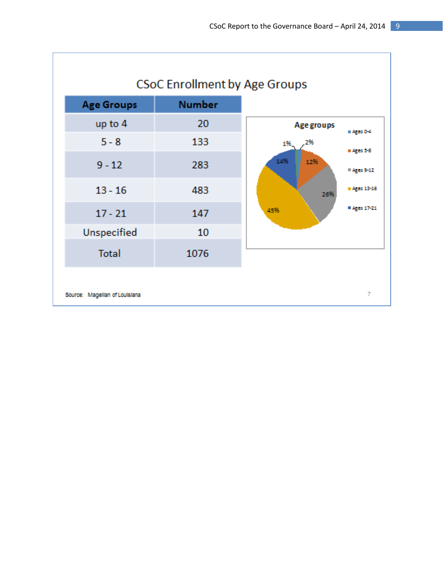٦

| <b>Age Groups</b> | <b>Number</b> |                                         |
|-------------------|---------------|-----------------------------------------|
| up to 4           | 20            | Age groups<br>$A$ ges 0-4               |
| $5 - 8$           | 133           | 2%<br>1%                                |
| $9 - 12$          | 283           | # Ages 5-8<br>14%<br>12%<br># Ages 9-12 |
| $13 - 16$         | 483           | Ages 13-16<br>26%                       |
| $17 - 21$         | 147           | # Ages 17-21<br>45%                     |
| Unspecified       | 10            |                                         |
| <b>Total</b>      | 1076          |                                         |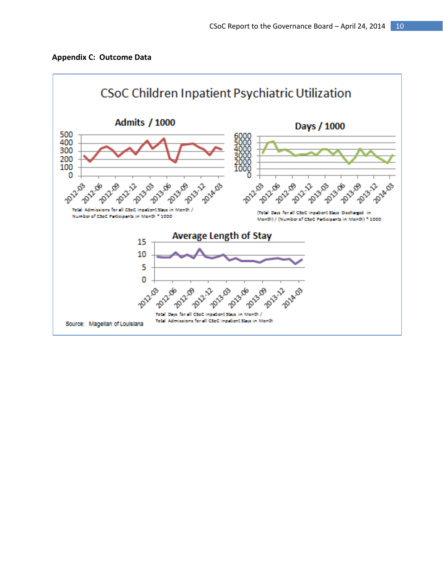